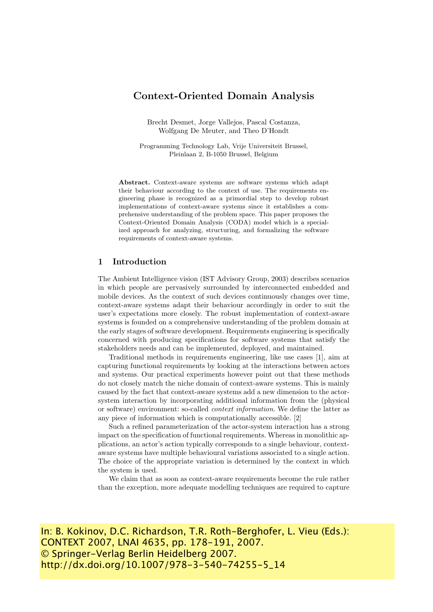# Context-Oriented Domain Analysis

Brecht Desmet, Jorge Vallejos, Pascal Costanza, Wolfgang De Meuter, and Theo D'Hondt

Programming Technology Lab, Vrije Universiteit Brussel, Pleinlaan 2, B-1050 Brussel, Belgium

Abstract. Context-aware systems are software systems which adapt their behaviour according to the context of use. The requirements engineering phase is recognized as a primordial step to develop robust implementations of context-aware systems since it establishes a comprehensive understanding of the problem space. This paper proposes the Context-Oriented Domain Analysis (CODA) model which is a specialized approach for analyzing, structuring, and formalizing the software requirements of context-aware systems.

# 1 Introduction

The Ambient Intelligence vision (IST Advisory Group, 2003) describes scenarios in which people are pervasively surrounded by interconnected embedded and mobile devices. As the context of such devices continuously changes over time, context-aware systems adapt their behaviour accordingly in order to suit the user's expectations more closely. The robust implementation of context-aware systems is founded on a comprehensive understanding of the problem domain at the early stages of software development. Requirements engineering is specifically concerned with producing specifications for software systems that satisfy the stakeholders needs and can be implemented, deployed, and maintained.

Traditional methods in requirements engineering, like use cases [1], aim at capturing functional requirements by looking at the interactions between actors and systems. Our practical experiments however point out that these methods do not closely match the niche domain of context-aware systems. This is mainly caused by the fact that context-aware systems add a new dimension to the actorsystem interaction by incorporating additional information from the (physical or software) environment: so-called context information. We define the latter as any piece of information which is computationally accessible. [2]

Such a refined parameterization of the actor-system interaction has a strong impact on the specification of functional requirements. Whereas in monolithic applications, an actor's action typically corresponds to a single behaviour, contextaware systems have multiple behavioural variations associated to a single action. The choice of the appropriate variation is determined by the context in which the system is used.

We claim that as soon as context-aware requirements become the rule rather than the exception, more adequate modelling techniques are required to capture

In: B. Kokinov, D.C. Richardson, T.R. Roth-Berghofer, L. Vieu (Eds.): CONTEXT 2007, LNAI 4635, pp. 178-191, 2007. © Springer-Verlag Berlin Heidelberg 2007. http://dx.doi.org/10.1007/978-3-540-74255-5\_14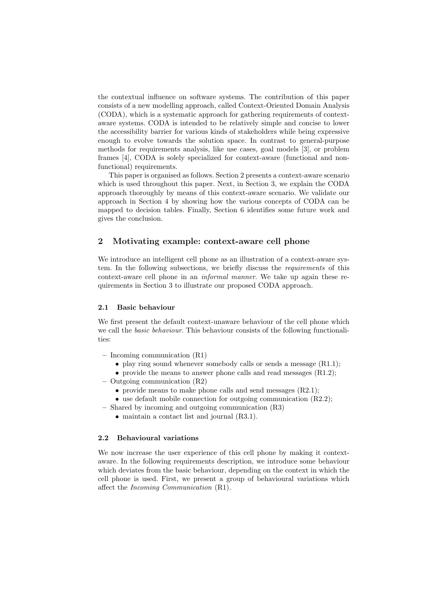the contextual influence on software systems. The contribution of this paper consists of a new modelling approach, called Context-Oriented Domain Analysis (CODA), which is a systematic approach for gathering requirements of contextaware systems. CODA is intended to be relatively simple and concise to lower the accessibility barrier for various kinds of stakeholders while being expressive enough to evolve towards the solution space. In contrast to general-purpose methods for requirements analysis, like use cases, goal models [3], or problem frames [4], CODA is solely specialized for context-aware (functional and nonfunctional) requirements.

This paper is organised as follows. Section 2 presents a context-aware scenario which is used throughout this paper. Next, in Section 3, we explain the CODA approach thoroughly by means of this context-aware scenario. We validate our approach in Section 4 by showing how the various concepts of CODA can be mapped to decision tables. Finally, Section 6 identifies some future work and gives the conclusion.

## 2 Motivating example: context-aware cell phone

We introduce an intelligent cell phone as an illustration of a context-aware system. In the following subsections, we briefly discuss the requirements of this context-aware cell phone in an informal manner. We take up again these requirements in Section 3 to illustrate our proposed CODA approach.

### 2.1 Basic behaviour

We first present the default context-unaware behaviour of the cell phone which we call the *basic behaviour*. This behaviour consists of the following functionalities:

– Incoming communication (R1)

- play ring sound whenever somebody calls or sends a message  $(R1.1)$ ;
- provide the means to answer phone calls and read messages  $(R1.2)$ ; – Outgoing communication (R2)
	- provide means to make phone calls and send messages  $(R2.1)$ ;
	- use default mobile connection for outgoing communication (R2.2);
- Shared by incoming and outgoing communication (R3)
	- maintain a contact list and journal (R3.1).

### 2.2 Behavioural variations

We now increase the user experience of this cell phone by making it contextaware. In the following requirements description, we introduce some behaviour which deviates from the basic behaviour, depending on the context in which the cell phone is used. First, we present a group of behavioural variations which affect the Incoming Communication (R1).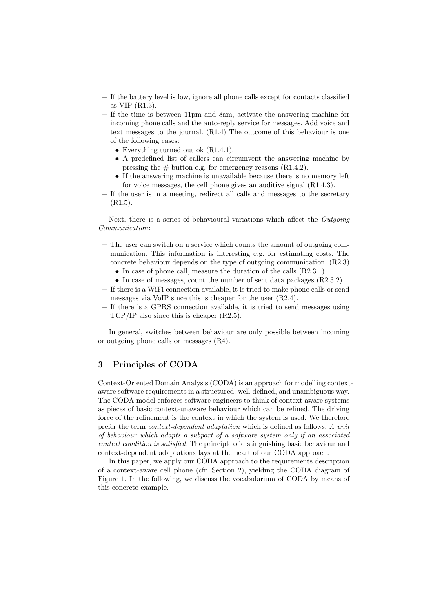- If the battery level is low, ignore all phone calls except for contacts classified as VIP (R1.3).
- If the time is between 11pm and 8am, activate the answering machine for incoming phone calls and the auto-reply service for messages. Add voice and text messages to the journal. (R1.4) The outcome of this behaviour is one of the following cases:
	- Everything turned out ok (R1.4.1).
	- A predefined list of callers can circumvent the answering machine by pressing the  $\#$  button e.g. for emergency reasons (R1.4.2).
	- If the answering machine is unavailable because there is no memory left for voice messages, the cell phone gives an auditive signal (R1.4.3).
- If the user is in a meeting, redirect all calls and messages to the secretary (R1.5).

Next, there is a series of behavioural variations which affect the *Outgoing* Communication:

- The user can switch on a service which counts the amount of outgoing communication. This information is interesting e.g. for estimating costs. The concrete behaviour depends on the type of outgoing communication. (R2.3)
	- In case of phone call, measure the duration of the calls  $(R2.3.1)$ .
	- In case of messages, count the number of sent data packages (R2.3.2).
- If there is a WiFi connection available, it is tried to make phone calls or send messages via VoIP since this is cheaper for the user (R2.4).
- If there is a GPRS connection available, it is tried to send messages using TCP/IP also since this is cheaper (R2.5).

In general, switches between behaviour are only possible between incoming or outgoing phone calls or messages (R4).

## 3 Principles of CODA

Context-Oriented Domain Analysis (CODA) is an approach for modelling contextaware software requirements in a structured, well-defined, and unambiguous way. The CODA model enforces software engineers to think of context-aware systems as pieces of basic context-unaware behaviour which can be refined. The driving force of the refinement is the context in which the system is used. We therefore prefer the term context-dependent adaptation which is defined as follows: A unit of behaviour which adapts a subpart of a software system only if an associated context condition is satisfied. The principle of distinguishing basic behaviour and context-dependent adaptations lays at the heart of our CODA approach.

In this paper, we apply our CODA approach to the requirements description of a context-aware cell phone (cfr. Section 2), yielding the CODA diagram of Figure 1. In the following, we discuss the vocabularium of CODA by means of this concrete example.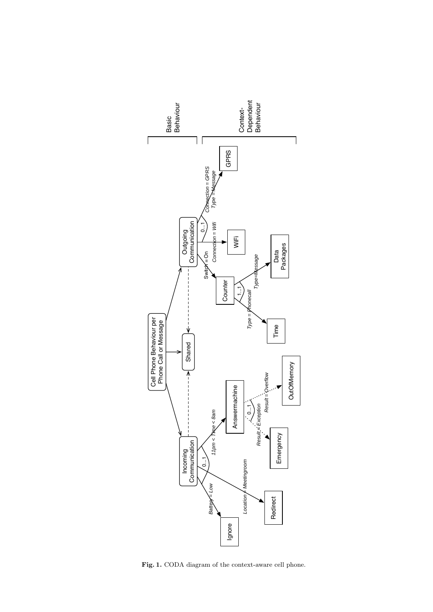

Fig. 1. CODA diagram of the context-aware cell phone.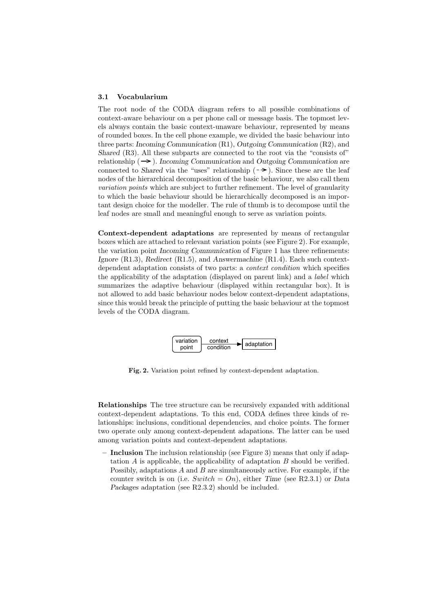#### 3.1 Vocabularium

The root node of the CODA diagram refers to all possible combinations of context-aware behaviour on a per phone call or message basis. The topmost levels always contain the basic context-unaware behaviour, represented by means of rounded boxes. In the cell phone example, we divided the basic behaviour into three parts: *Incoming Communication* (R1), *Outgoing Communication* (R2), and *Shared* (R3). All these subparts are connected to the root via the "consists of" relationship ( ). *Incoming Communication* and *Outgoing Communication* are connected to *Shared* via the "uses" relationship  $($ - $\rightarrow)$ . Since these are the leaf nodes of the hierarchical decomposition of the basic behaviour, we also call them variation points which are subject to further refinement. The level of granularity to which the basic behaviour should be hierarchically decomposed is an important design choice for the modeller. The rule of thumb is to decompose until the leaf nodes are small and meaningful enough to serve as variation points.

Context-dependent adaptations are represented by means of rectangular boxes which are attached to relevant variation points (see Figure 2). For example, the variation point *Incoming Communication* of Figure 1 has three refinements: *Ignore* (R1.3), *Redirect* (R1.5), and *Answermachine* (R1.4). Each such contextdependent adaptation consists of two parts: a context condition which specifies the applicability of the adaptation (displayed on parent link) and a label which summarizes the adaptive behaviour (displayed within rectangular box). It is not allowed to add basic behaviour nodes below context-dependent adaptations, since this would break the principle of putting the basic behaviour at the topmost levels of the CODA diagram.



Fig. 2. Variation point refined by context-dependent adaptation.

Relationships The tree structure can be recursively expanded with additional context-dependent adaptations. To this end, CODA defines three kinds of relationships: inclusions, conditional dependencies, and choice points. The former two operate only among context-dependent adapations. The latter can be used among variation points and context-dependent adaptations.

– Inclusion The inclusion relationship (see Figure 3) means that only if adaptation *A* is applicable, the applicability of adaptation *B* should be verified. Possibly, adaptations *A* and *B* are simultaneously active. For example, if the counter switch is on (i.e. *Switch* = *On*), either *Time* (see R2.3.1) or *Data Packages* adaptation (see R2.3.2) should be included.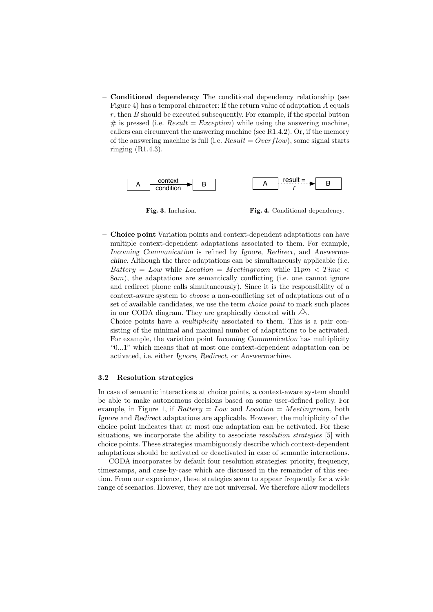– Conditional dependency The conditional dependency relationship (see Figure 4) has a temporal character: If the return value of adaptation *A* equals *r*, then *B* should be executed subsequently. For example, if the special button  $#$  is pressed (i.e. *Result* = *Exception*) while using the answering machine, callers can circumvent the answering machine (see R1.4.2). Or, if the memory of the answering machine is full (i.e.  $Result = Overflow$ ), some signal starts ringing  $(R1.4.3)$ .



Fig. 3. Inclusion.

Fig. 4. Conditional dependency.

– Choice point Variation points and context-dependent adaptations can have multiple context-dependent adaptations associated to them. For example, *Incoming Communication* is refined by *Ignore*, *Redirect*, and *Answermachine*. Although the three adaptations can be simultaneously applicable (i.e. *Battery* = *Low* while *Location* = *Meetingroom* while  $11pm *Time*$ 8*am*), the adaptations are semantically conflicting (i.e. one cannot ignore and redirect phone calls simultaneously). Since it is the responsibility of a context-aware system to choose a non-conflicting set of adaptations out of a set of available candidates, we use the term choice point to mark such places in our CODA diagram. They are graphically denoted with  $\triangle$ .

Choice points have a multiplicity associated to them. This is a pair consisting of the minimal and maximal number of adaptations to be activated. For example, the variation point *Incoming Communication* has multiplicity "0...1" which means that at most one context-dependent adaptation can be activated, i.e. either *Ignore*, *Redirect*, or *Answermachine*.

#### 3.2 Resolution strategies

In case of semantic interactions at choice points, a context-aware system should be able to make autonomous decisions based on some user-defined policy. For example, in Figure 1, if *Battery* = *Low* and *Location* = *Meetingroom*, both *Ignore* and *Redirect* adaptations are applicable. However, the multiplicity of the choice point indicates that at most one adaptation can be activated. For these situations, we incorporate the ability to associate *resolution strategies* [5] with choice points. These strategies unambiguously describe which context-dependent adaptations should be activated or deactivated in case of semantic interactions.

CODA incorporates by default four resolution strategies: priority, frequency, timestamps, and case-by-case which are discussed in the remainder of this section. From our experience, these strategies seem to appear frequently for a wide range of scenarios. However, they are not universal. We therefore allow modellers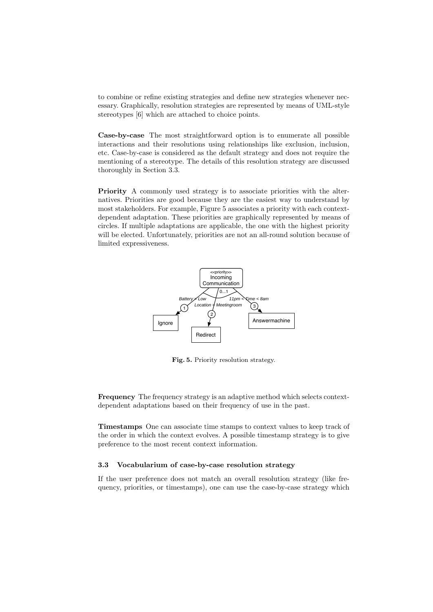to combine or refine existing strategies and define new strategies whenever necessary. Graphically, resolution strategies are represented by means of UML-style stereotypes [6] which are attached to choice points.

Case-by-case The most straightforward option is to enumerate all possible interactions and their resolutions using relationships like exclusion, inclusion, etc. Case-by-case is considered as the default strategy and does not require the mentioning of a stereotype. The details of this resolution strategy are discussed thoroughly in Section 3.3.

Priority A commonly used strategy is to associate priorities with the alternatives. Priorities are good because they are the easiest way to understand by most stakeholders. For example, Figure 5 associates a priority with each contextdependent adaptation. These priorities are graphically represented by means of circles. If multiple adaptations are applicable, the one with the highest priority will be elected. Unfortunately, priorities are not an all-round solution because of limited expressiveness.



Fig. 5. Priority resolution strategy.

Frequency The frequency strategy is an adaptive method which selects contextdependent adaptations based on their frequency of use in the past.

Timestamps One can associate time stamps to context values to keep track of the order in which the context evolves. A possible timestamp strategy is to give preference to the most recent context information.

## 3.3 Vocabularium of case-by-case resolution strategy

If the user preference does not match an overall resolution strategy (like frequency, priorities, or timestamps), one can use the case-by-case strategy which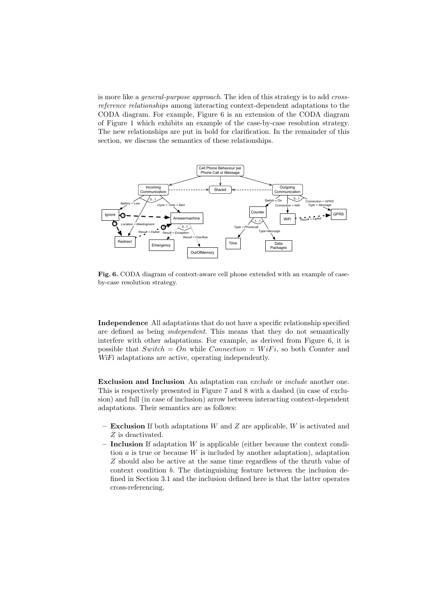is more like a general-purpose approach. The idea of this strategy is to add crossreference relationships among interacting context-dependent adaptations to the CODA diagram. For example, Figure 6 is an extension of the CODA diagram of Figure 1 which exhibits an example of the case-by-case resolution strategy. The new relationships are put in bold for clarification. In the remainder of this section, we discuss the semantics of these relationships.



Fig. 6. CODA diagram of context-aware cell phone extended with an example of caseby-case resolution strategy.

Independence All adaptations that do not have a specific relationship specified are defined as being independent. This means that they do not semantically interfere with other adaptations. For example, as derived from Figure 6, it is possible that *Switch* = *On* while *Connection* = *WiFi*, so both *Counter* and *WiFi* adaptations are active, operating independently.

Exclusion and Inclusion An adaptation can exclude or include another one. This is respectively presented in Figure 7 and 8 with a dashed (in case of exclusion) and full (in case of inclusion) arrow between interacting context-dependent adaptations. Their semantics are as follows:

- Exclusion If both adaptations *W* and *Z* are applicable, *W* is activated and *Z* is deactivated.
- Inclusion If adaptation *W* is applicable (either because the context condition *a* is true or because *W* is included by another adaptation), adaptation *Z* should also be active at the same time regardless of the thruth value of context condition *b*. The distinguishing feature between the inclusion defined in Section 3.1 and the inclusion defined here is that the latter operates cross-referencing.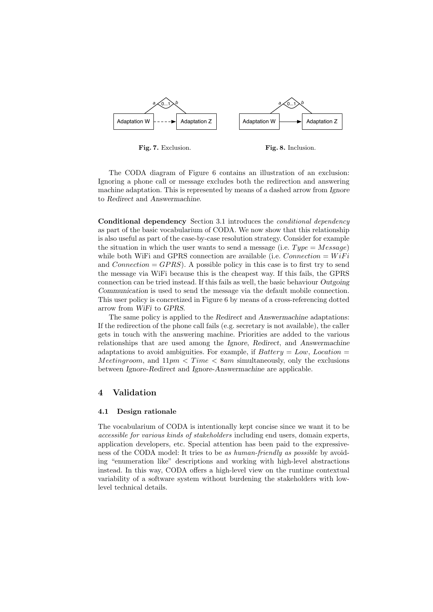

Fig. 7. Exclusion.

Fig. 8. Inclusion.

The CODA diagram of Figure 6 contains an illustration of an exclusion: Ignoring a phone call or message excludes both the redirection and answering machine adaptation. This is represented by means of a dashed arrow from *Ignore* to *Redirect* and *Answermachine*.

Conditional dependency Section 3.1 introduces the conditional dependency as part of the basic vocabularium of CODA. We now show that this relationship is also useful as part of the case-by-case resolution strategy. Consider for example the situation in which the user wants to send a message (i.e.  $Type = Message$ ) while both WiFi and GPRS connection are available (i.e.  $Connection = WiFi$ ) and *Connection* = *GPRS*). A possible policy in this case is to first try to send the message via WiFi because this is the cheapest way. If this fails, the GPRS connection can be tried instead. If this fails as well, the basic behaviour *Outgoing Communication* is used to send the message via the default mobile connection. This user policy is concretized in Figure 6 by means of a cross-referencing dotted arrow from *WiFi* to *GPRS*.

The same policy is applied to the *Redirect* and *Answermachine* adaptations: If the redirection of the phone call fails (e.g. secretary is not available), the caller gets in touch with the answering machine. Priorities are added to the various relationships that are used among the *Ignore*, *Redirect*, and *Answermachine* adaptations to avoid ambiguities. For example, if *Battery* = *Low*, *Location* = *Meetingroom*, and  $11pm < Time < 8am$  simultaneously, only the exclusions between *Ignore*-*Redirect* and *Ignore*-*Answermachine* are applicable.

# 4 Validation

#### 4.1 Design rationale

The vocabularium of CODA is intentionally kept concise since we want it to be accessible for various kinds of stakeholders including end users, domain experts, application developers, etc. Special attention has been paid to the expressiveness of the CODA model: It tries to be as human-friendly as possible by avoiding "enumeration like" descriptions and working with high-level abstractions instead. In this way, CODA offers a high-level view on the runtime contextual variability of a software system without burdening the stakeholders with lowlevel technical details.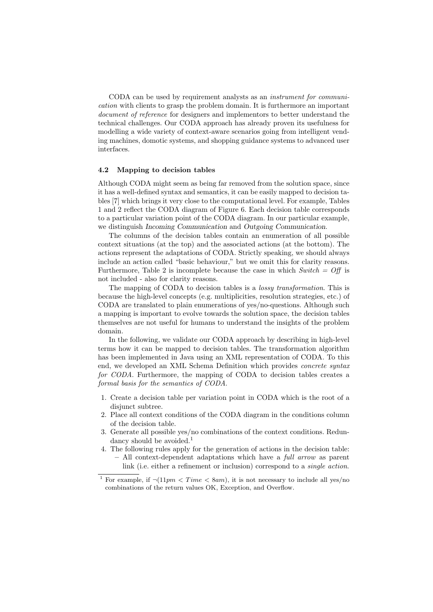CODA can be used by requirement analysts as an instrument for communication with clients to grasp the problem domain. It is furthermore an important document of reference for designers and implementors to better understand the technical challenges. Our CODA approach has already proven its usefulness for modelling a wide variety of context-aware scenarios going from intelligent vending machines, domotic systems, and shopping guidance systems to advanced user interfaces.

### 4.2 Mapping to decision tables

Although CODA might seem as being far removed from the solution space, since it has a well-defined syntax and semantics, it can be easily mapped to decision tables [7] which brings it very close to the computational level. For example, Tables 1 and 2 reflect the CODA diagram of Figure 6. Each decision table corresponds to a particular variation point of the CODA diagram. In our particular example, we distinguish *Incoming Communication* and *Outgoing Communication*.

The columns of the decision tables contain an enumeration of all possible context situations (at the top) and the associated actions (at the bottom). The actions represent the adaptations of CODA. Strictly speaking, we should always include an action called "basic behaviour," but we omit this for clarity reasons. Furthermore, Table 2 is incomplete because the case in which  $Switch = Off$  is not included - also for clarity reasons.

The mapping of CODA to decision tables is a *lossy transformation*. This is because the high-level concepts (e.g. multiplicities, resolution strategies, etc.) of CODA are translated to plain enumerations of yes/no-questions. Although such a mapping is important to evolve towards the solution space, the decision tables themselves are not useful for humans to understand the insights of the problem domain.

In the following, we validate our CODA approach by describing in high-level terms how it can be mapped to decision tables. The transformation algorithm has been implemented in Java using an XML representation of CODA. To this end, we developed an XML Schema Definition which provides concrete syntax for CODA. Furthermore, the mapping of CODA to decision tables creates a formal basis for the semantics of CODA.

- 1. Create a decision table per variation point in CODA which is the root of a disjunct subtree.
- 2. Place all context conditions of the CODA diagram in the conditions column of the decision table.
- 3. Generate all possible yes/no combinations of the context conditions. Redundancy should be avoided.<sup>1</sup>
- 4. The following rules apply for the generation of actions in the decision table: – All context-dependent adaptations which have a full arrow as parent link (i.e. either a refinement or inclusion) correspond to a *single action*.

<sup>&</sup>lt;sup>1</sup> For example, if  $\neg(11pm \ltimes Time \lt 8am)$ , it is not necessary to include all yes/no combinations of the return values OK, Exception, and Overflow.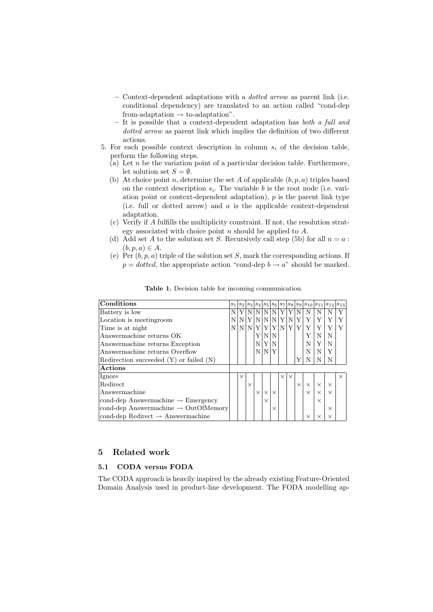- $-$  Context-dependent adaptations with a *dotted arrow* as parent link (i.e. conditional dependency) are translated to an action called "cond-dep from-adaptation  $\rightarrow$  to-adaptation".
- It is possible that a context-dependent adaptation has both a full and dotted arrow as parent link which implies the definition of two different actions.
- 5. For each possible context description in column *s<sup>i</sup>* of the decision table, perform the following steps.
	- $(a)$  Let *n* be the variation point of a particular decision table. Furthermore, let solution set  $S = \emptyset$ .
	- (b) At choice point *n*, determine the set *A* of applicable  $(b, p, a)$  triples based on the context description  $s_i$ . The variable  $b$  is the root node (i.e. variation point or context-dependent adaptation), *p* is the parent link type (i.e. full or dotted arrow) and *a* is the applicable context-dependent adaptation.
	- (c) Verify if *A* fulfills the multiplicity constraint. If not, the resolution strategy associated with choice point *n* should be applied to *A*.
	- (d) Add set *A* to the solution set *S*. Recursively call step (5b) for all  $n = a$ :  $(b, p, a) \in A$ .
	- (e) Per  $(b, p, a)$  triple of the solution set *S*, mark the corresponding actions. If  $p = dotted$ , the appropriate action "cond-dep  $b \rightarrow a$ " should be marked.

| Conditions                                       | S <sub>1</sub> |              |              |          |             |              |          |          |          | $ s_2 s_3 s_4 s_5 s_6 s_7 s_8 s_9 s_{10} s_{11} s_{12} s_{13}$ |          |          |          |
|--------------------------------------------------|----------------|--------------|--------------|----------|-------------|--------------|----------|----------|----------|----------------------------------------------------------------|----------|----------|----------|
| Battery is low                                   | N              |              |              |          | N           | N            |          |          | N        | N                                                              | N        |          |          |
| Location is meetingroom                          |                | N            |              | N        | N           | $\mathbf{N}$ | Y        | N        | Y        | Y                                                              | Y        | Y        | Y        |
| Time is at night                                 | N              | $\mathbb{N}$ | $\mathbf{N}$ | Y        | Y           | Y            | N        | Y        | Y        | Y                                                              | Y        | Y        |          |
| Answermachine returns OK                         |                |              |              | Y        | N           | N            |          |          |          | Y                                                              | N        | N        |          |
| Answermachine returns Exception                  |                |              |              | N        | Y           | N            |          |          |          | N                                                              | Y        | N        |          |
| Answermachine returns Overflow                   |                |              |              | N        | $\mathbf N$ | Y            |          |          |          | N                                                              | N        | Y        |          |
| Redirection succeeded $(Y)$ or failed $(N)$      |                |              |              |          |             |              |          |          | Y        | N                                                              | N        | N        |          |
| Actions                                          |                |              |              |          |             |              |          |          |          |                                                                |          |          |          |
| Ignore                                           |                | $\times$     |              |          |             |              | $\times$ | $\times$ |          |                                                                |          |          | $\times$ |
| Redirect                                         |                |              | $\times$     |          |             |              |          |          | $\times$ | $\times$                                                       | $\times$ | $\times$ |          |
| Answermachine                                    |                |              |              | $\times$ | $\times$    | $\times$     |          |          |          | $\times$                                                       | $\times$ | $\times$ |          |
| cond-dep Answermachine $\rightarrow$ Emergency   |                |              |              |          | $\times$    |              |          |          |          |                                                                | $\times$ |          |          |
| cond-dep Answermachine $\rightarrow$ OutOfMemory |                |              |              |          |             | $\times$     |          |          |          |                                                                |          | X        |          |
| cond-dep Redirect $\rightarrow$ Answermachine    |                |              |              |          |             |              |          |          |          | X                                                              | $\times$ | $\times$ |          |

Table 1. Decision table for incoming communication.

# 5 Related work

# 5.1 CODA versus FODA

The CODA approach is heavily inspired by the already existing Feature-Oriented Domain Analysis used in product-line development. The FODA modelling ap-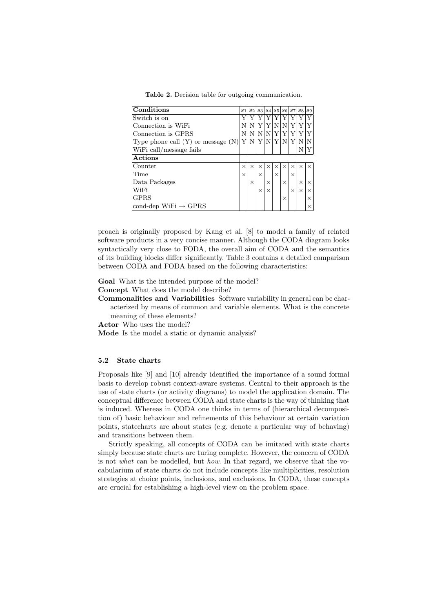|  |  |  |  |  |  | <b>Table 2.</b> Decision table for outgoing communication. |
|--|--|--|--|--|--|------------------------------------------------------------|
|--|--|--|--|--|--|------------------------------------------------------------|

| Conditions                             | $S_1$    |   |   |          |          | $S_2 S_3 S_4 S_5 S_6 S_7$ |   | $s_{8}$  | $S_{9}$  |  |
|----------------------------------------|----------|---|---|----------|----------|---------------------------|---|----------|----------|--|
| Switch is on                           |          |   |   |          |          |                           |   |          |          |  |
| Connection is WiFi                     |          |   |   |          |          |                           |   |          |          |  |
| Connection is GPRS                     | N        |   |   | N        | Y        |                           |   |          |          |  |
| Type phone call $(Y)$ or message $(N)$ |          |   |   |          |          | N                         |   |          |          |  |
| WiFi call/message fails                |          |   |   |          |          |                           |   |          |          |  |
| Actions                                |          |   |   |          |          |                           |   |          |          |  |
| Counter                                | $\times$ | X |   | $\times$ |          |                           | X |          | $\times$ |  |
| Time                                   | X        |   | X |          | $\times$ |                           | X |          |          |  |
| Data Packages                          |          |   |   | X        |          | $\times$                  |   | $\times$ |          |  |
| WiFi                                   |          |   | × | ×        |          |                           | X | X        |          |  |
| <b>GPRS</b>                            |          |   |   |          |          | $\times$                  |   |          | $\times$ |  |
| cond-dep WiFi $\rightarrow$ GPRS       |          |   |   |          |          |                           |   |          | ×        |  |

proach is originally proposed by Kang et al. [8] to model a family of related software products in a very concise manner. Although the CODA diagram looks syntactically very close to FODA, the overall aim of CODA and the semantics of its building blocks differ significantly. Table 3 contains a detailed comparison between CODA and FODA based on the following characteristics:

Goal What is the intended purpose of the model?

Concept What does the model describe?

Commonalities and Variabilities Software variability in general can be characterized by means of common and variable elements. What is the concrete meaning of these elements?

Actor Who uses the model?

Mode Is the model a static or dynamic analysis?

### 5.2 State charts

Proposals like [9] and [10] already identified the importance of a sound formal basis to develop robust context-aware systems. Central to their approach is the use of state charts (or activity diagrams) to model the application domain. The conceptual difference between CODA and state charts is the way of thinking that is induced. Whereas in CODA one thinks in terms of (hierarchical decomposition of) basic behaviour and refinements of this behaviour at certain variation points, statecharts are about states (e.g. denote a particular way of behaving) and transitions between them.

Strictly speaking, all concepts of CODA can be imitated with state charts simply because state charts are turing complete. However, the concern of CODA is not what can be modelled, but how. In that regard, we observe that the vocabularium of state charts do not include concepts like multiplicities, resolution strategies at choice points, inclusions, and exclusions. In CODA, these concepts are crucial for establishing a high-level view on the problem space.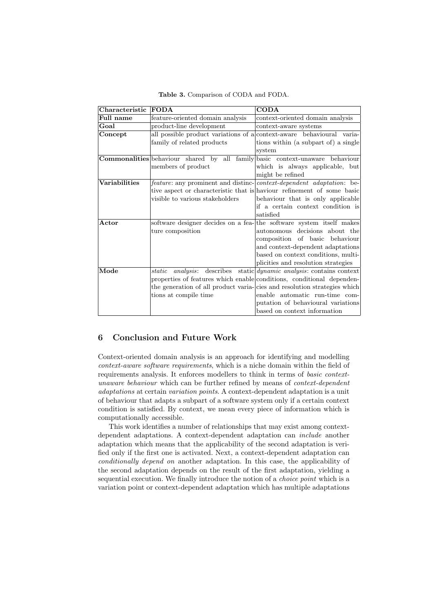Table 3. Comparison of CODA and FODA.

| Characteristic | FODA                                            | <b>CODA</b>                                                                           |
|----------------|-------------------------------------------------|---------------------------------------------------------------------------------------|
| Full name      | feature-oriented domain analysis                | context-oriented domain analysis                                                      |
| Goal           | product-line development                        | context-aware systems                                                                 |
| $Concept$      |                                                 | all possible product variations of a context-aware behavioural varia-                 |
|                | family of related products                      | tions within (a subpart of) a single                                                  |
|                |                                                 | system                                                                                |
|                | <b>Commonalities</b> behaviour shared by<br>all | family basic context-unaware behaviour                                                |
|                | members of product                              | which is always applicable, but                                                       |
|                |                                                 | might be refined                                                                      |
| Variabilities  |                                                 | <i>feature:</i> any prominent and distinc-  <i>context-dependent adaptation</i> : be- |
|                |                                                 | tive aspect or characteristic that is haviour refinement of some basic                |
|                | visible to various stakeholders                 | behaviour that is only applicable                                                     |
|                |                                                 | if a certain context condition is                                                     |
|                |                                                 | satisfied                                                                             |
| ${\rm Actor}$  |                                                 | software designer decides on a fea- the software system itself makes                  |
|                | ture composition                                | autonomous decisions about the                                                        |
|                |                                                 | composition of basic behaviour                                                        |
|                |                                                 | and context-dependent adaptations                                                     |
|                |                                                 | based on context conditions, multi-                                                   |
|                |                                                 | plicities and resolution strategies                                                   |
| Mode           | static<br><i>analysis:</i>                      | describes static <i>dynamic analysis</i> : contains context                           |
|                |                                                 | properties of features which enable conditions, conditional dependen-                 |
|                |                                                 | the generation of all product varia-cies and resolution strategies which              |
|                | tions at compile time.                          | enable automatic run-time com-                                                        |
|                |                                                 | putation of behavioural variations                                                    |
|                |                                                 | based on context information                                                          |

# 6 Conclusion and Future Work

Context-oriented domain analysis is an approach for identifying and modelling context-aware software requirements, which is a niche domain within the field of requirements analysis. It enforces modellers to think in terms of basic contextunaware behaviour which can be further refined by means of *context-dependent* adaptations at certain variation points. A context-dependent adaptation is a unit of behaviour that adapts a subpart of a software system only if a certain context condition is satisfied. By context, we mean every piece of information which is computationally accessible.

This work identifies a number of relationships that may exist among contextdependent adaptations. A context-dependent adaptation can include another adaptation which means that the applicability of the second adaptation is verified only if the first one is activated. Next, a context-dependent adaptation can conditionally depend on another adaptation. In this case, the applicability of the second adaptation depends on the result of the first adaptation, yielding a sequential execution. We finally introduce the notion of a choice point which is a variation point or context-dependent adaptation which has multiple adaptations